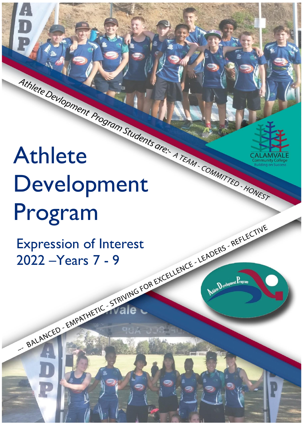# Athlete Development Program

Athlete Development Program (ADP) 2022

Expression of Interest

Expression of Interest 2022 –Years 7 - 9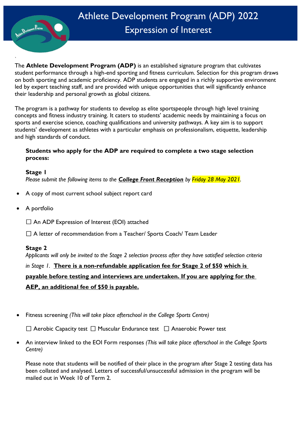

## Athlete Development Program (ADP) 2022 Expression of Interest

` The **Athlete Development Program (ADP)** is an established signature program that cultivates student performance through a high-end sporting and fitness curriculum. Selection for this program draws on both sporting and academic proficiency. ADP students are engaged in a richly supportive environment led by expert teaching staff, and are provided with unique opportunities that will significantly enhance their leadership and personal growth as global citizens.

The program is a pathway for students to develop as elite sportspeople through high level training concepts and fitness industry training. It caters to students' academic needs by maintaining a focus on sports and exercise science, coaching qualifications and university pathways. A key aim is to support students' development as athletes with a particular emphasis on professionalism, etiquette, leadership and high standards of conduct.

#### **Students who apply for the ADP are required to complete a two stage selection process:**

**Stage 1**

*Please submit the following items to the College Front Reception by Friday 28 May 2021.*

- A copy of most current school subject report card
- A portfolio
	- $\Box$  An ADP Expression of Interest (EOI) attached

□ A letter of recommendation from a Teacher/ Sports Coach/ Team Leader

#### **Stage 2**

*Applicants will only be invited to the Stage 2 selection process after they have satisfied selection criteria* 

### *in Stage 1.* **There is a non-refundable application fee for Stage 2 of \$50 which is payable before testing and interviews are undertaken. If you are applying for the AEP, an additional fee of \$50 is payable.**

• Fitness screening *(This will take place afterschool in the College Sports Centre)*

 $\Box$  Aerobic Capacity test  $\Box$  Muscular Endurance test  $\Box$  Anaerobic Power test

• An interview linked to the EOI Form responses *(This will take place afterschool in the College Sports Centre)*

Please note that students will be notified of their place in the program after Stage 2 testing data has been collated and analysed. Letters of successful/unsuccessful admission in the program will be mailed out in Week 10 of Term 2.